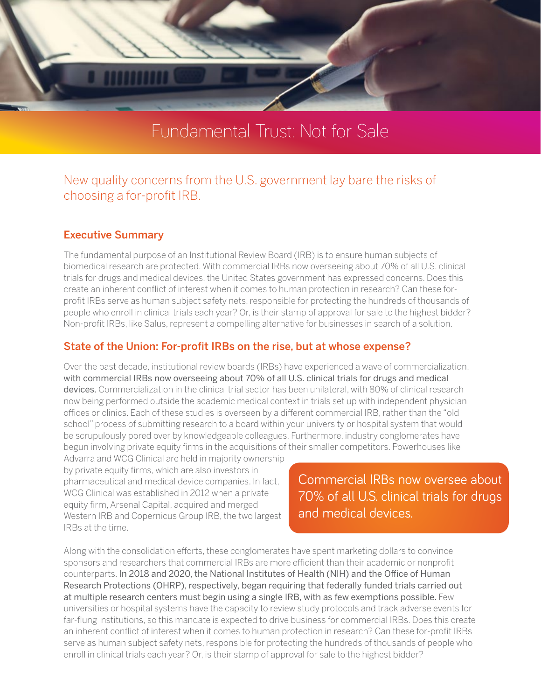

# Fundamental Trust: Not for Sale

# New quality concerns from the U.S. government lay bare the risks of choosing a for-profit IRB.

#### Executive Summary

The fundamental purpose of an Institutional Review Board (IRB) is to ensure human subjects of biomedical research are protected. With commercial IRBs now overseeing about 70% of all U.S. clinical trials for drugs and medical devices, the United States government has expressed concerns. Does this create an inherent conflict of interest when it comes to human protection in research? Can these forprofit IRBs serve as human subject safety nets, responsible for protecting the hundreds of thousands of people who enroll in clinical trials each year? Or, is their stamp of approval for sale to the highest bidder? Non-profit IRBs, like Salus, represent a compelling alternative for businesses in search of a solution.

#### State of the Union: For-profit IRBs on the rise, but at whose expense?

Over the past decade, institutional review boards (IRBs) have experienced a wave of commercialization, with commercial IRBs now overseeing about 70% of all U.S. clinical trials for drugs and medical devices. Commercialization in the clinical trial sector has been unilateral, with 80% of clinical research now being performed outside the academic medical context in trials set up with independent physician offices or clinics. Each of these studies is overseen by a different commercial IRB, rather than the "old school" process of submitting research to a board within your university or hospital system that would be scrupulously pored over by knowledgeable colleagues. Furthermore, industry conglomerates have begun involving private equity firms in the acquisitions of their smaller competitors. Powerhouses like

Advarra and WCG Clinical are held in majority ownership by private equity firms, which are also investors in pharmaceutical and medical device companies. In fact, WCG Clinical was established in 2012 when a private equity firm, Arsenal Capital, acquired and merged Western IRB and Copernicus Group IRB, the two largest IRBs at the time.

Commercial IRBs now oversee about 70% of all U.S. clinical trials for drugs and medical devices.

Along with the consolidation efforts, these conglomerates have spent marketing dollars to convince sponsors and researchers that commercial IRBs are more efficient than their academic or nonprofit counterparts. In 2018 and 2020, the National Institutes of Health (NIH) and the Office of Human Research Protections (OHRP), respectively, began requiring that federally funded trials carried out at multiple research centers must begin using a single IRB, with as few exemptions possible. Few universities or hospital systems have the capacity to review study protocols and track adverse events for far-flung institutions, so this mandate is expected to drive business for commercial IRBs. Does this create an inherent conflict of interest when it comes to human protection in research? Can these for-profit IRBs serve as human subject safety nets, responsible for protecting the hundreds of thousands of people who enroll in clinical trials each year? Or, is their stamp of approval for sale to the highest bidder?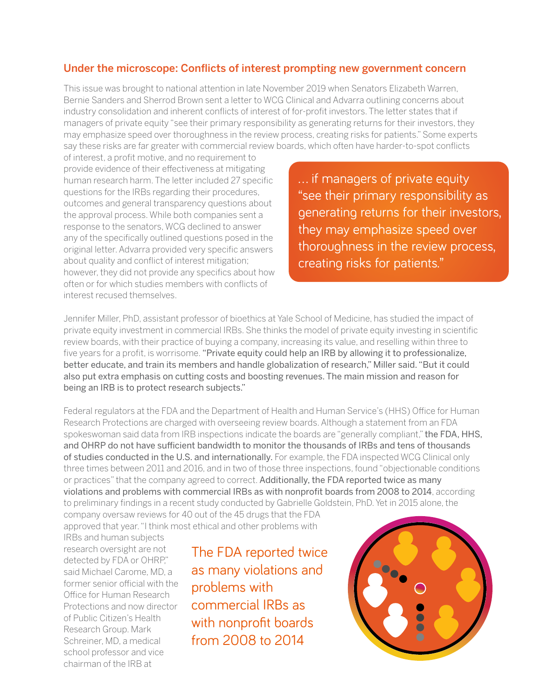### Under the microscope: Conflicts of interest prompting new government concern

This issue was brought to national attention in late November 2019 when Senators Elizabeth Warren, Bernie Sanders and Sherrod Brown sent a letter to WCG Clinical and Advarra outlining concerns about industry consolidation and inherent conflicts of interest of for-profit investors. The letter states that if managers of private equity "see their primary responsibility as generating returns for their investors, they may emphasize speed over thoroughness in the review process, creating risks for patients." Some experts say these risks are far greater with commercial review boards, which often have harder-to-spot conflicts

of interest, a profit motive, and no requirement to provide evidence of their effectiveness at mitigating human research harm. The letter included 27 specific questions for the IRBs regarding their procedures, outcomes and general transparency questions about the approval process. While both companies sent a response to the senators, WCG declined to answer any of the specifically outlined questions posed in the original letter. Advarra provided very specific answers about quality and conflict of interest mitigation; however, they did not provide any specifics about how often or for which studies members with conflicts of interest recused themselves.

... if managers of private equity "see their primary responsibility as generating returns for their investors, they may emphasize speed over thoroughness in the review process, creating risks for patients."

Jennifer Miller, PhD, assistant professor of bioethics at Yale School of Medicine, has studied the impact of private equity investment in commercial IRBs. She thinks the model of private equity investing in scientific review boards, with their practice of buying a company, increasing its value, and reselling within three to five years for a profit, is worrisome. "Private equity could help an IRB by allowing it to professionalize, better educate, and train its members and handle globalization of research," Miller said. "But it could also put extra emphasis on cutting costs and boosting revenues. The main mission and reason for being an IRB is to protect research subjects."

Federal regulators at the FDA and the Department of Health and Human Service's (HHS) Office for Human Research Protections are charged with overseeing review boards. Although a statement from an FDA spokeswoman said data from IRB inspections indicate the boards are "generally compliant," the FDA, HHS, and OHRP do not have sufficient bandwidth to monitor the thousands of IRBs and tens of thousands of studies conducted in the U.S. and internationally. For example, the FDA inspected WCG Clinical only three times between 2011 and 2016, and in two of those three inspections, found "objectionable conditions or practices" that the company agreed to correct. Additionally, the FDA reported twice as many violations and problems with commercial IRBs as with nonprofit boards from 2008 to 2014, according to preliminary findings in a recent study conducted by Gabrielle Goldstein, PhD. Yet in 2015 alone, the

company oversaw reviews for 40 out of the 45 drugs that the FDA approved that year. "I think most ethical and other problems with

IRBs and human subjects research oversight are not detected by FDA or OHRP," said Michael Carome, MD, a former senior official with the Office for Human Research Protections and now director of Public Citizen's Health Research Group. Mark Schreiner, MD, a medical school professor and vice chairman of the IRB at

The FDA reported twice as many violations and problems with commercial IRBs as with nonprofit boards from 2008 to 2014